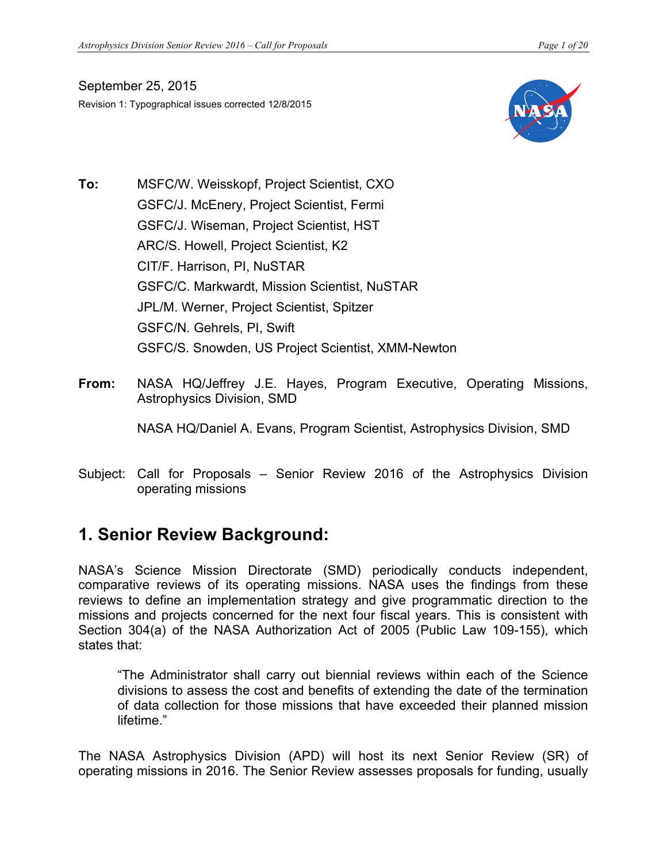September 25, 2015 Revision 1: Typographical issues corrected 12/8/2015



- **To:** MSFC/W. Weisskopf, Project Scientist, CXO GSFC/J. McEnery, Project Scientist, Fermi GSFC/J. Wiseman, Project Scientist, HST ARC/S. Howell, Project Scientist, K2 CIT/F. Harrison, PI, NuSTAR GSFC/C. Markwardt, Mission Scientist, NuSTAR JPL/M. Werner, Project Scientist, Spitzer GSFC/N. Gehrels, PI, Swift GSFC/S. Snowden, US Project Scientist, XMM-Newton
- **From:** NASA HQ/Jeffrey J.E. Hayes, Program Executive, Operating Missions, Astrophysics Division, SMD

NASA HQ/Daniel A. Evans, Program Scientist, Astrophysics Division, SMD

Subject: Call for Proposals – Senior Review 2016 of the Astrophysics Division operating missions

## **1. Senior Review Background:**

NASA's Science Mission Directorate (SMD) periodically conducts independent, comparative reviews of its operating missions. NASA uses the findings from these reviews to define an implementation strategy and give programmatic direction to the missions and projects concerned for the next four fiscal years. This is consistent with Section 304(a) of the NASA Authorization Act of 2005 (Public Law 109-155), which states that:

"The Administrator shall carry out biennial reviews within each of the Science divisions to assess the cost and benefits of extending the date of the termination of data collection for those missions that have exceeded their planned mission lifetime."

The NASA Astrophysics Division (APD) will host its next Senior Review (SR) of operating missions in 2016. The Senior Review assesses proposals for funding, usually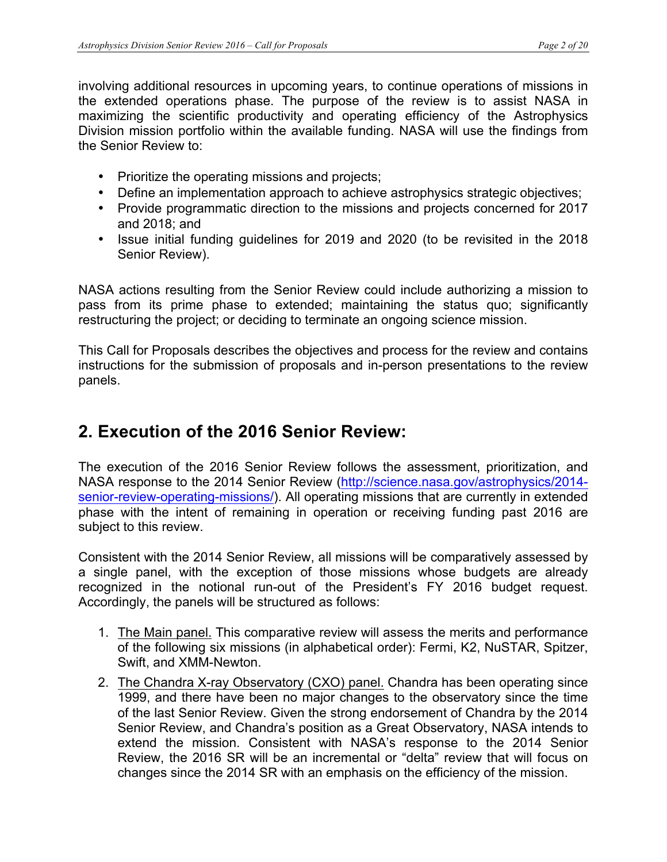involving additional resources in upcoming years, to continue operations of missions in the extended operations phase. The purpose of the review is to assist NASA in maximizing the scientific productivity and operating efficiency of the Astrophysics Division mission portfolio within the available funding. NASA will use the findings from the Senior Review to:

- Prioritize the operating missions and projects;
- Define an implementation approach to achieve astrophysics strategic objectives;
- Provide programmatic direction to the missions and projects concerned for 2017 and 2018; and
- Issue initial funding guidelines for 2019 and 2020 (to be revisited in the 2018 Senior Review).

NASA actions resulting from the Senior Review could include authorizing a mission to pass from its prime phase to extended; maintaining the status quo; significantly restructuring the project; or deciding to terminate an ongoing science mission.

This Call for Proposals describes the objectives and process for the review and contains instructions for the submission of proposals and in-person presentations to the review panels.

# **2. Execution of the 2016 Senior Review:**

The execution of the 2016 Senior Review follows the assessment, prioritization, and NASA response to the 2014 Senior Review (http://science.nasa.gov/astrophysics/2014 senior-review-operating-missions/). All operating missions that are currently in extended phase with the intent of remaining in operation or receiving funding past 2016 are subject to this review.

Consistent with the 2014 Senior Review, all missions will be comparatively assessed by a single panel, with the exception of those missions whose budgets are already recognized in the notional run-out of the President's FY 2016 budget request. Accordingly, the panels will be structured as follows:

- 1. The Main panel. This comparative review will assess the merits and performance of the following six missions (in alphabetical order): Fermi, K2, NuSTAR, Spitzer, Swift, and XMM-Newton.
- 2. The Chandra X-ray Observatory (CXO) panel. Chandra has been operating since 1999, and there have been no major changes to the observatory since the time of the last Senior Review. Given the strong endorsement of Chandra by the 2014 Senior Review, and Chandra's position as a Great Observatory, NASA intends to extend the mission. Consistent with NASA's response to the 2014 Senior Review, the 2016 SR will be an incremental or "delta" review that will focus on changes since the 2014 SR with an emphasis on the efficiency of the mission.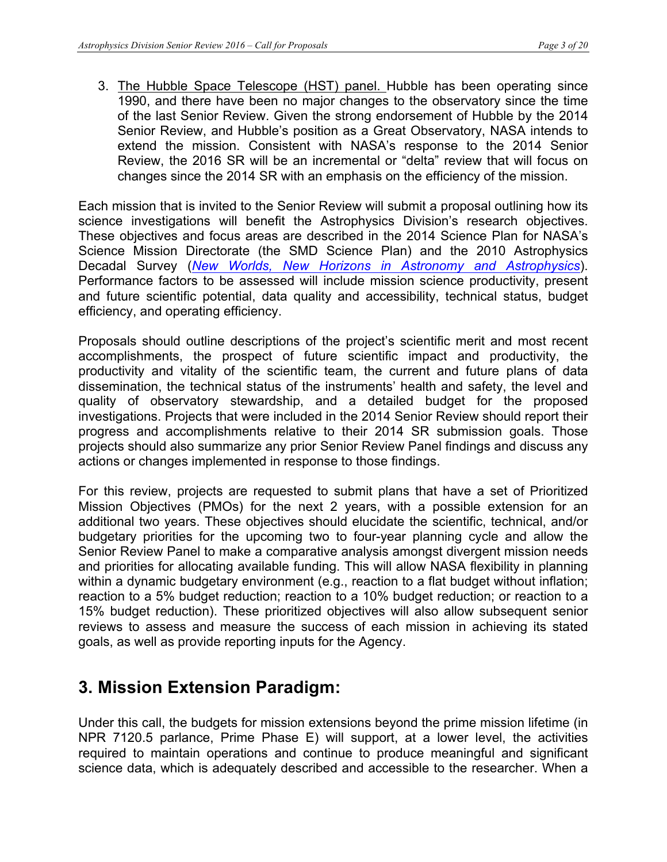3. The Hubble Space Telescope (HST) panel. Hubble has been operating since 1990, and there have been no major changes to the observatory since the time of the last Senior Review. Given the strong endorsement of Hubble by the 2014 Senior Review, and Hubble's position as a Great Observatory, NASA intends to extend the mission. Consistent with NASA's response to the 2014 Senior Review, the 2016 SR will be an incremental or "delta" review that will focus on changes since the 2014 SR with an emphasis on the efficiency of the mission.

Each mission that is invited to the Senior Review will submit a proposal outlining how its science investigations will benefit the Astrophysics Division's research objectives. These objectives and focus areas are described in the 2014 Science Plan for NASA's Science Mission Directorate (the SMD Science Plan) and the 2010 Astrophysics Decadal Survey (*New Worlds, New Horizons in Astronomy and Astrophysics*). Performance factors to be assessed will include mission science productivity, present and future scientific potential, data quality and accessibility, technical status, budget efficiency, and operating efficiency.

Proposals should outline descriptions of the project's scientific merit and most recent accomplishments, the prospect of future scientific impact and productivity, the productivity and vitality of the scientific team, the current and future plans of data dissemination, the technical status of the instruments' health and safety, the level and quality of observatory stewardship, and a detailed budget for the proposed investigations. Projects that were included in the 2014 Senior Review should report their progress and accomplishments relative to their 2014 SR submission goals. Those projects should also summarize any prior Senior Review Panel findings and discuss any actions or changes implemented in response to those findings.

For this review, projects are requested to submit plans that have a set of Prioritized Mission Objectives (PMOs) for the next 2 years, with a possible extension for an additional two years. These objectives should elucidate the scientific, technical, and/or budgetary priorities for the upcoming two to four-year planning cycle and allow the Senior Review Panel to make a comparative analysis amongst divergent mission needs and priorities for allocating available funding. This will allow NASA flexibility in planning within a dynamic budgetary environment (e.g., reaction to a flat budget without inflation; reaction to a 5% budget reduction; reaction to a 10% budget reduction; or reaction to a 15% budget reduction). These prioritized objectives will also allow subsequent senior reviews to assess and measure the success of each mission in achieving its stated goals, as well as provide reporting inputs for the Agency.

## **3. Mission Extension Paradigm:**

Under this call, the budgets for mission extensions beyond the prime mission lifetime (in NPR 7120.5 parlance, Prime Phase E) will support, at a lower level, the activities required to maintain operations and continue to produce meaningful and significant science data, which is adequately described and accessible to the researcher. When a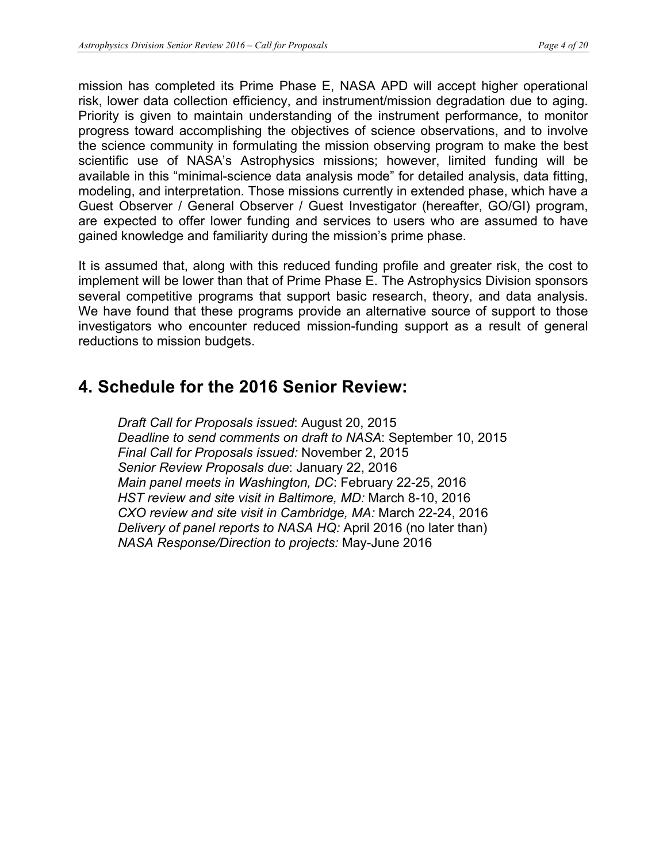mission has completed its Prime Phase E, NASA APD will accept higher operational risk, lower data collection efficiency, and instrument/mission degradation due to aging. Priority is given to maintain understanding of the instrument performance, to monitor progress toward accomplishing the objectives of science observations, and to involve the science community in formulating the mission observing program to make the best scientific use of NASA's Astrophysics missions; however, limited funding will be available in this "minimal-science data analysis mode" for detailed analysis, data fitting, modeling, and interpretation. Those missions currently in extended phase, which have a Guest Observer / General Observer / Guest Investigator (hereafter, GO/GI) program, are expected to offer lower funding and services to users who are assumed to have gained knowledge and familiarity during the mission's prime phase.

It is assumed that, along with this reduced funding profile and greater risk, the cost to implement will be lower than that of Prime Phase E. The Astrophysics Division sponsors several competitive programs that support basic research, theory, and data analysis. We have found that these programs provide an alternative source of support to those investigators who encounter reduced mission-funding support as a result of general reductions to mission budgets.

## **4. Schedule for the 2016 Senior Review:**

*Draft Call for Proposals issued*: August 20, 2015 *Deadline to send comments on draft to NASA*: September 10, 2015 *Final Call for Proposals issued:* November 2, 2015 *Senior Review Proposals due*: January 22, 2016 *Main panel meets in Washington, DC*: February 22-25, 2016 *HST review and site visit in Baltimore, MD:* March 8-10, 2016 *CXO review and site visit in Cambridge, MA:* March 22-24, 2016 *Delivery of panel reports to NASA HQ:* April 2016 (no later than) *NASA Response/Direction to projects:* May-June 2016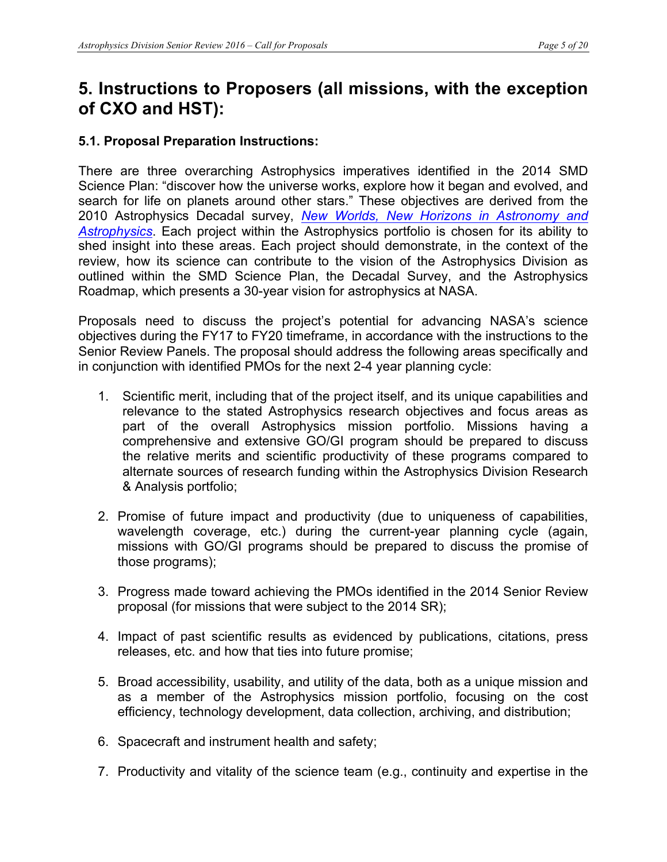## **5. Instructions to Proposers (all missions, with the exception of CXO and HST):**

## **5.1. Proposal Preparation Instructions:**

There are three overarching Astrophysics imperatives identified in the 2014 SMD Science Plan: "discover how the universe works, explore how it began and evolved, and search for life on planets around other stars." These objectives are derived from the 2010 Astrophysics Decadal survey, *New Worlds, New Horizons in Astronomy and Astrophysics*. Each project within the Astrophysics portfolio is chosen for its ability to shed insight into these areas. Each project should demonstrate, in the context of the review, how its science can contribute to the vision of the Astrophysics Division as outlined within the SMD Science Plan, the Decadal Survey, and the Astrophysics Roadmap, which presents a 30-year vision for astrophysics at NASA.

Proposals need to discuss the project's potential for advancing NASA's science objectives during the FY17 to FY20 timeframe, in accordance with the instructions to the Senior Review Panels. The proposal should address the following areas specifically and in conjunction with identified PMOs for the next 2-4 year planning cycle:

- 1. Scientific merit, including that of the project itself, and its unique capabilities and relevance to the stated Astrophysics research objectives and focus areas as part of the overall Astrophysics mission portfolio. Missions having a comprehensive and extensive GO/GI program should be prepared to discuss the relative merits and scientific productivity of these programs compared to alternate sources of research funding within the Astrophysics Division Research & Analysis portfolio;
- 2. Promise of future impact and productivity (due to uniqueness of capabilities, wavelength coverage, etc.) during the current-year planning cycle (again, missions with GO/GI programs should be prepared to discuss the promise of those programs);
- 3. Progress made toward achieving the PMOs identified in the 2014 Senior Review proposal (for missions that were subject to the 2014 SR);
- 4. Impact of past scientific results as evidenced by publications, citations, press releases, etc. and how that ties into future promise;
- 5. Broad accessibility, usability, and utility of the data, both as a unique mission and as a member of the Astrophysics mission portfolio, focusing on the cost efficiency, technology development, data collection, archiving, and distribution;
- 6. Spacecraft and instrument health and safety;
- 7. Productivity and vitality of the science team (e.g., continuity and expertise in the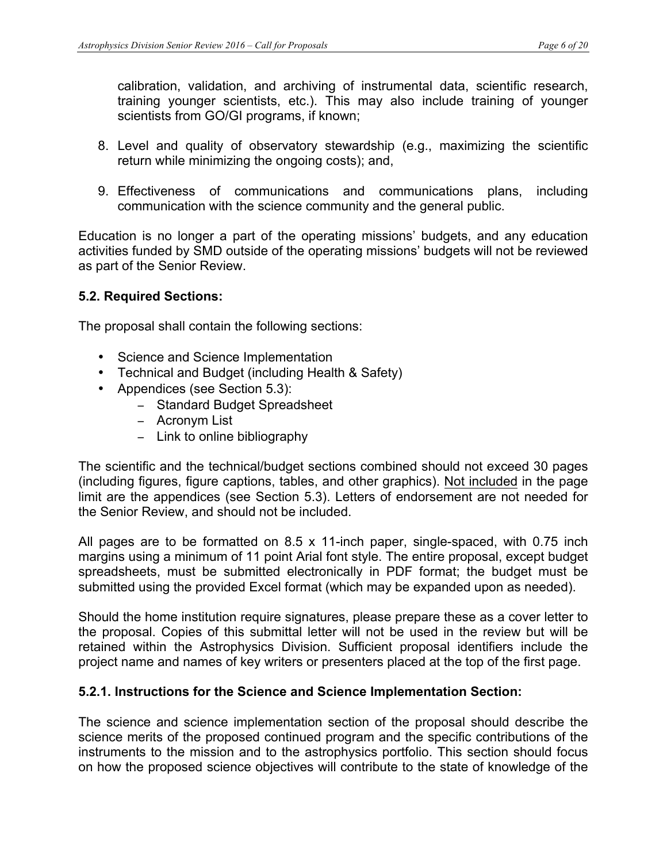calibration, validation, and archiving of instrumental data, scientific research, training younger scientists, etc.). This may also include training of younger scientists from GO/GI programs, if known;

- 8. Level and quality of observatory stewardship (e.g., maximizing the scientific return while minimizing the ongoing costs); and,
- 9. Effectiveness of communications and communications plans, including communication with the science community and the general public.

Education is no longer a part of the operating missions' budgets, and any education activities funded by SMD outside of the operating missions' budgets will not be reviewed as part of the Senior Review.

### **5.2. Required Sections:**

The proposal shall contain the following sections:

- Science and Science Implementation
- Technical and Budget (including Health & Safety)
- Appendices (see Section 5.3):
	- − Standard Budget Spreadsheet
	- − Acronym List
	- − Link to online bibliography

The scientific and the technical/budget sections combined should not exceed 30 pages (including figures, figure captions, tables, and other graphics). Not included in the page limit are the appendices (see Section 5.3). Letters of endorsement are not needed for the Senior Review, and should not be included.

All pages are to be formatted on 8.5 x 11-inch paper, single-spaced, with 0.75 inch margins using a minimum of 11 point Arial font style. The entire proposal, except budget spreadsheets, must be submitted electronically in PDF format; the budget must be submitted using the provided Excel format (which may be expanded upon as needed).

Should the home institution require signatures, please prepare these as a cover letter to the proposal. Copies of this submittal letter will not be used in the review but will be retained within the Astrophysics Division. Sufficient proposal identifiers include the project name and names of key writers or presenters placed at the top of the first page.

### **5.2.1. Instructions for the Science and Science Implementation Section:**

The science and science implementation section of the proposal should describe the science merits of the proposed continued program and the specific contributions of the instruments to the mission and to the astrophysics portfolio. This section should focus on how the proposed science objectives will contribute to the state of knowledge of the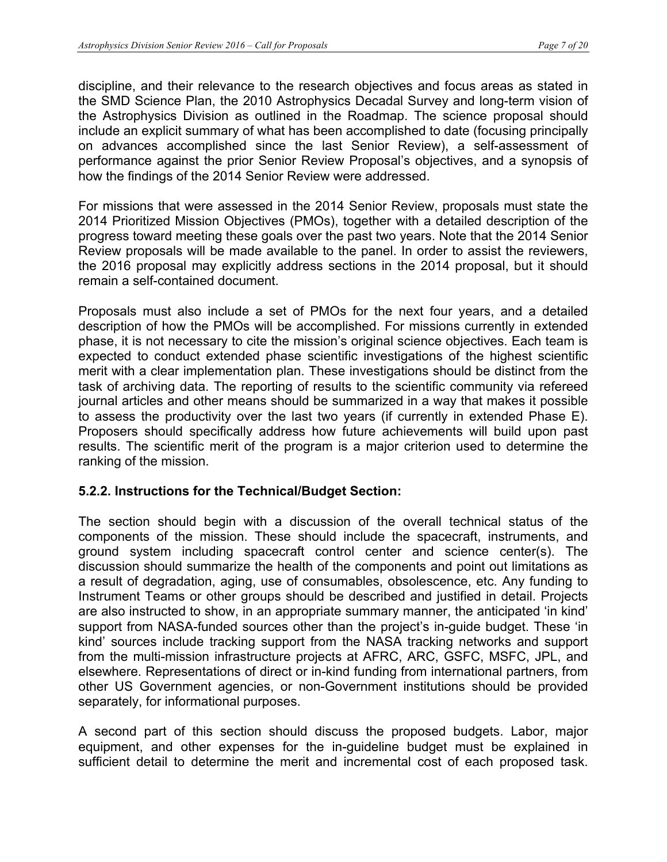discipline, and their relevance to the research objectives and focus areas as stated in the SMD Science Plan, the 2010 Astrophysics Decadal Survey and long-term vision of the Astrophysics Division as outlined in the Roadmap. The science proposal should include an explicit summary of what has been accomplished to date (focusing principally on advances accomplished since the last Senior Review), a self-assessment of performance against the prior Senior Review Proposal's objectives, and a synopsis of how the findings of the 2014 Senior Review were addressed.

For missions that were assessed in the 2014 Senior Review, proposals must state the 2014 Prioritized Mission Objectives (PMOs), together with a detailed description of the progress toward meeting these goals over the past two years. Note that the 2014 Senior Review proposals will be made available to the panel. In order to assist the reviewers, the 2016 proposal may explicitly address sections in the 2014 proposal, but it should remain a self-contained document.

Proposals must also include a set of PMOs for the next four years, and a detailed description of how the PMOs will be accomplished. For missions currently in extended phase, it is not necessary to cite the mission's original science objectives. Each team is expected to conduct extended phase scientific investigations of the highest scientific merit with a clear implementation plan. These investigations should be distinct from the task of archiving data. The reporting of results to the scientific community via refereed journal articles and other means should be summarized in a way that makes it possible to assess the productivity over the last two years (if currently in extended Phase E). Proposers should specifically address how future achievements will build upon past results. The scientific merit of the program is a major criterion used to determine the ranking of the mission.

### **5.2.2. Instructions for the Technical/Budget Section:**

The section should begin with a discussion of the overall technical status of the components of the mission. These should include the spacecraft, instruments, and ground system including spacecraft control center and science center(s). The discussion should summarize the health of the components and point out limitations as a result of degradation, aging, use of consumables, obsolescence, etc. Any funding to Instrument Teams or other groups should be described and justified in detail. Projects are also instructed to show, in an appropriate summary manner, the anticipated 'in kind' support from NASA-funded sources other than the project's in-guide budget. These 'in kind' sources include tracking support from the NASA tracking networks and support from the multi-mission infrastructure projects at AFRC, ARC, GSFC, MSFC, JPL, and elsewhere. Representations of direct or in-kind funding from international partners, from other US Government agencies, or non-Government institutions should be provided separately, for informational purposes.

A second part of this section should discuss the proposed budgets. Labor, major equipment, and other expenses for the in-guideline budget must be explained in sufficient detail to determine the merit and incremental cost of each proposed task.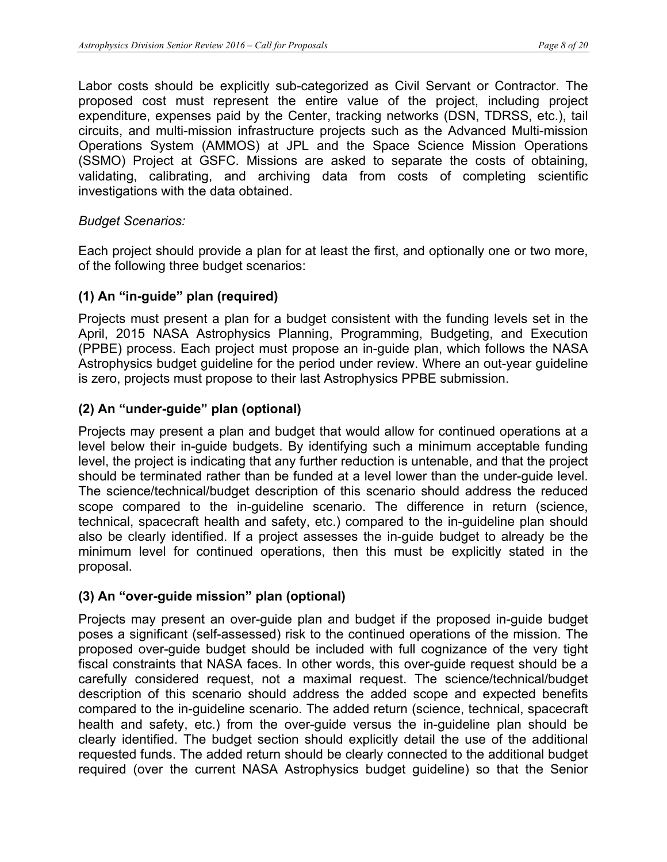Labor costs should be explicitly sub-categorized as Civil Servant or Contractor. The proposed cost must represent the entire value of the project, including project expenditure, expenses paid by the Center, tracking networks (DSN, TDRSS, etc.), tail circuits, and multi-mission infrastructure projects such as the Advanced Multi-mission Operations System (AMMOS) at JPL and the Space Science Mission Operations (SSMO) Project at GSFC. Missions are asked to separate the costs of obtaining, validating, calibrating, and archiving data from costs of completing scientific investigations with the data obtained.

### *Budget Scenarios:*

Each project should provide a plan for at least the first, and optionally one or two more, of the following three budget scenarios:

### **(1) An "in-guide" plan (required)**

Projects must present a plan for a budget consistent with the funding levels set in the April, 2015 NASA Astrophysics Planning, Programming, Budgeting, and Execution (PPBE) process. Each project must propose an in-guide plan, which follows the NASA Astrophysics budget guideline for the period under review. Where an out-year guideline is zero, projects must propose to their last Astrophysics PPBE submission.

### **(2) An "under-guide" plan (optional)**

Projects may present a plan and budget that would allow for continued operations at a level below their in-guide budgets. By identifying such a minimum acceptable funding level, the project is indicating that any further reduction is untenable, and that the project should be terminated rather than be funded at a level lower than the under-guide level. The science/technical/budget description of this scenario should address the reduced scope compared to the in-guideline scenario. The difference in return (science, technical, spacecraft health and safety, etc.) compared to the in-guideline plan should also be clearly identified. If a project assesses the in-guide budget to already be the minimum level for continued operations, then this must be explicitly stated in the proposal.

### **(3) An "over-guide mission" plan (optional)**

Projects may present an over-guide plan and budget if the proposed in-guide budget poses a significant (self-assessed) risk to the continued operations of the mission. The proposed over-guide budget should be included with full cognizance of the very tight fiscal constraints that NASA faces. In other words, this over-guide request should be a carefully considered request, not a maximal request. The science/technical/budget description of this scenario should address the added scope and expected benefits compared to the in-guideline scenario. The added return (science, technical, spacecraft health and safety, etc.) from the over-guide versus the in-guideline plan should be clearly identified. The budget section should explicitly detail the use of the additional requested funds. The added return should be clearly connected to the additional budget required (over the current NASA Astrophysics budget guideline) so that the Senior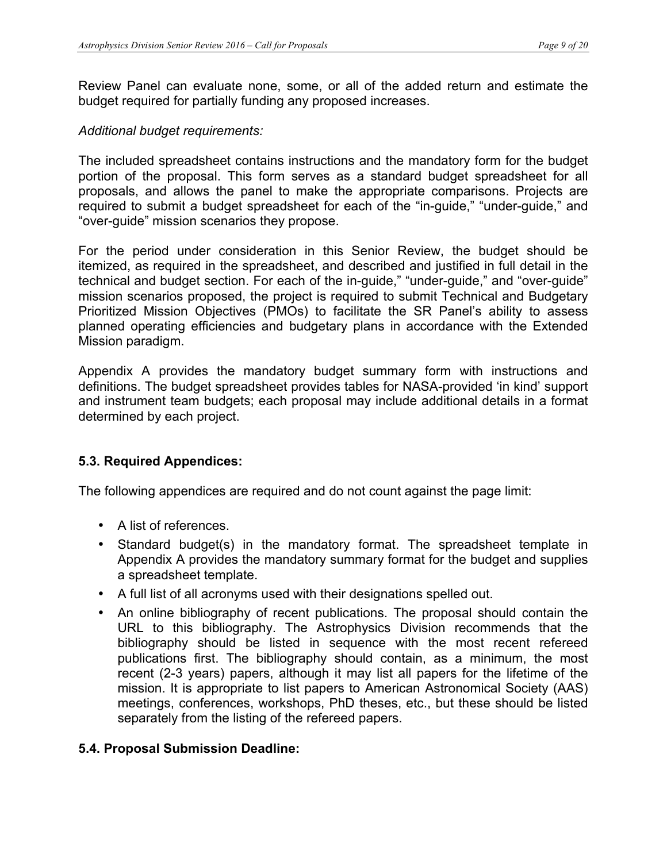Review Panel can evaluate none, some, or all of the added return and estimate the budget required for partially funding any proposed increases.

### *Additional budget requirements:*

The included spreadsheet contains instructions and the mandatory form for the budget portion of the proposal. This form serves as a standard budget spreadsheet for all proposals, and allows the panel to make the appropriate comparisons. Projects are required to submit a budget spreadsheet for each of the "in-guide," "under-guide," and "over-guide" mission scenarios they propose.

For the period under consideration in this Senior Review, the budget should be itemized, as required in the spreadsheet, and described and justified in full detail in the technical and budget section. For each of the in-guide," "under-guide," and "over-guide" mission scenarios proposed, the project is required to submit Technical and Budgetary Prioritized Mission Objectives (PMOs) to facilitate the SR Panel's ability to assess planned operating efficiencies and budgetary plans in accordance with the Extended Mission paradigm.

Appendix A provides the mandatory budget summary form with instructions and definitions. The budget spreadsheet provides tables for NASA-provided 'in kind' support and instrument team budgets; each proposal may include additional details in a format determined by each project.

### **5.3. Required Appendices:**

The following appendices are required and do not count against the page limit:

- A list of references.
- Standard budget(s) in the mandatory format. The spreadsheet template in Appendix A provides the mandatory summary format for the budget and supplies a spreadsheet template.
- A full list of all acronyms used with their designations spelled out.
- An online bibliography of recent publications. The proposal should contain the URL to this bibliography. The Astrophysics Division recommends that the bibliography should be listed in sequence with the most recent refereed publications first. The bibliography should contain, as a minimum, the most recent (2-3 years) papers, although it may list all papers for the lifetime of the mission. It is appropriate to list papers to American Astronomical Society (AAS) meetings, conferences, workshops, PhD theses, etc., but these should be listed separately from the listing of the refereed papers.

### **5.4. Proposal Submission Deadline:**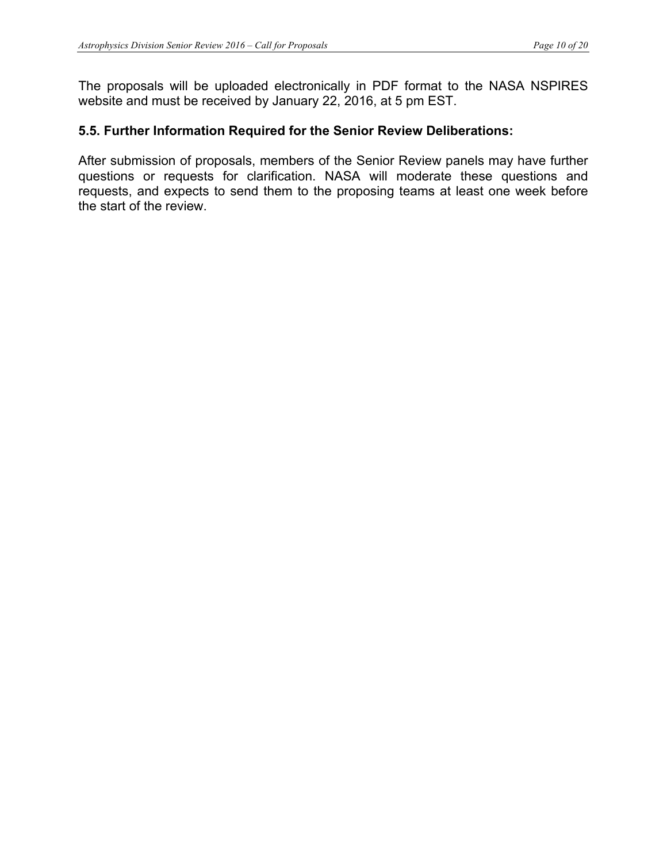The proposals will be uploaded electronically in PDF format to the NASA NSPIRES website and must be received by January 22, 2016, at 5 pm EST.

## **5.5. Further Information Required for the Senior Review Deliberations:**

After submission of proposals, members of the Senior Review panels may have further questions or requests for clarification. NASA will moderate these questions and requests, and expects to send them to the proposing teams at least one week before the start of the review.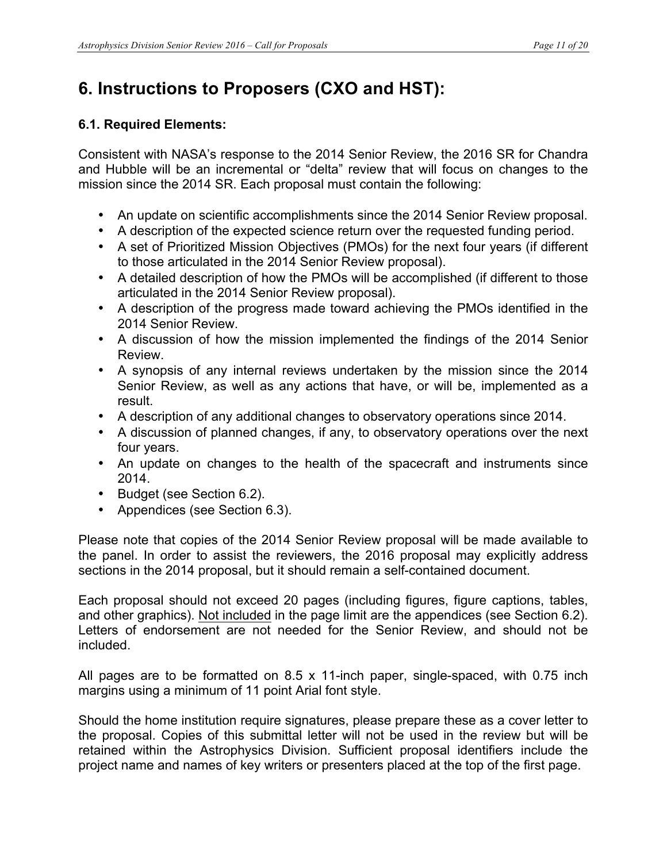# **6. Instructions to Proposers (CXO and HST):**

## **6.1. Required Elements:**

Consistent with NASA's response to the 2014 Senior Review, the 2016 SR for Chandra and Hubble will be an incremental or "delta" review that will focus on changes to the mission since the 2014 SR. Each proposal must contain the following:

- An update on scientific accomplishments since the 2014 Senior Review proposal.
- A description of the expected science return over the requested funding period.
- A set of Prioritized Mission Objectives (PMOs) for the next four years (if different to those articulated in the 2014 Senior Review proposal).
- A detailed description of how the PMOs will be accomplished (if different to those articulated in the 2014 Senior Review proposal).
- A description of the progress made toward achieving the PMOs identified in the 2014 Senior Review.
- A discussion of how the mission implemented the findings of the 2014 Senior Review.
- A synopsis of any internal reviews undertaken by the mission since the 2014 Senior Review, as well as any actions that have, or will be, implemented as a result.
- A description of any additional changes to observatory operations since 2014.
- A discussion of planned changes, if any, to observatory operations over the next four years.
- An update on changes to the health of the spacecraft and instruments since 2014.
- Budget (see Section 6.2).
- Appendices (see Section 6.3).

Please note that copies of the 2014 Senior Review proposal will be made available to the panel. In order to assist the reviewers, the 2016 proposal may explicitly address sections in the 2014 proposal, but it should remain a self-contained document.

Each proposal should not exceed 20 pages (including figures, figure captions, tables, and other graphics). Not included in the page limit are the appendices (see Section 6.2). Letters of endorsement are not needed for the Senior Review, and should not be included.

All pages are to be formatted on 8.5 x 11-inch paper, single-spaced, with 0.75 inch margins using a minimum of 11 point Arial font style.

Should the home institution require signatures, please prepare these as a cover letter to the proposal. Copies of this submittal letter will not be used in the review but will be retained within the Astrophysics Division. Sufficient proposal identifiers include the project name and names of key writers or presenters placed at the top of the first page.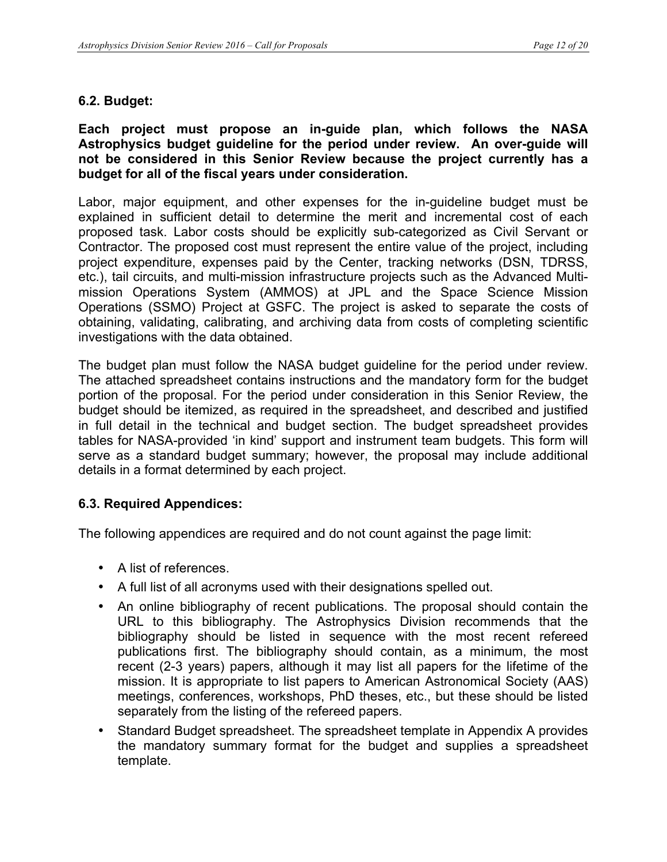### **6.2. Budget:**

#### **Each project must propose an in-guide plan, which follows the NASA Astrophysics budget guideline for the period under review. An over-guide will not be considered in this Senior Review because the project currently has a budget for all of the fiscal years under consideration.**

Labor, major equipment, and other expenses for the in-guideline budget must be explained in sufficient detail to determine the merit and incremental cost of each proposed task. Labor costs should be explicitly sub-categorized as Civil Servant or Contractor. The proposed cost must represent the entire value of the project, including project expenditure, expenses paid by the Center, tracking networks (DSN, TDRSS, etc.), tail circuits, and multi-mission infrastructure projects such as the Advanced Multimission Operations System (AMMOS) at JPL and the Space Science Mission Operations (SSMO) Project at GSFC. The project is asked to separate the costs of obtaining, validating, calibrating, and archiving data from costs of completing scientific investigations with the data obtained.

The budget plan must follow the NASA budget guideline for the period under review. The attached spreadsheet contains instructions and the mandatory form for the budget portion of the proposal. For the period under consideration in this Senior Review, the budget should be itemized, as required in the spreadsheet, and described and justified in full detail in the technical and budget section. The budget spreadsheet provides tables for NASA-provided 'in kind' support and instrument team budgets. This form will serve as a standard budget summary; however, the proposal may include additional details in a format determined by each project.

### **6.3. Required Appendices:**

The following appendices are required and do not count against the page limit:

- A list of references.
- A full list of all acronyms used with their designations spelled out.
- An online bibliography of recent publications. The proposal should contain the URL to this bibliography. The Astrophysics Division recommends that the bibliography should be listed in sequence with the most recent refereed publications first. The bibliography should contain, as a minimum, the most recent (2-3 years) papers, although it may list all papers for the lifetime of the mission. It is appropriate to list papers to American Astronomical Society (AAS) meetings, conferences, workshops, PhD theses, etc., but these should be listed separately from the listing of the refereed papers.
- Standard Budget spreadsheet. The spreadsheet template in Appendix A provides the mandatory summary format for the budget and supplies a spreadsheet template.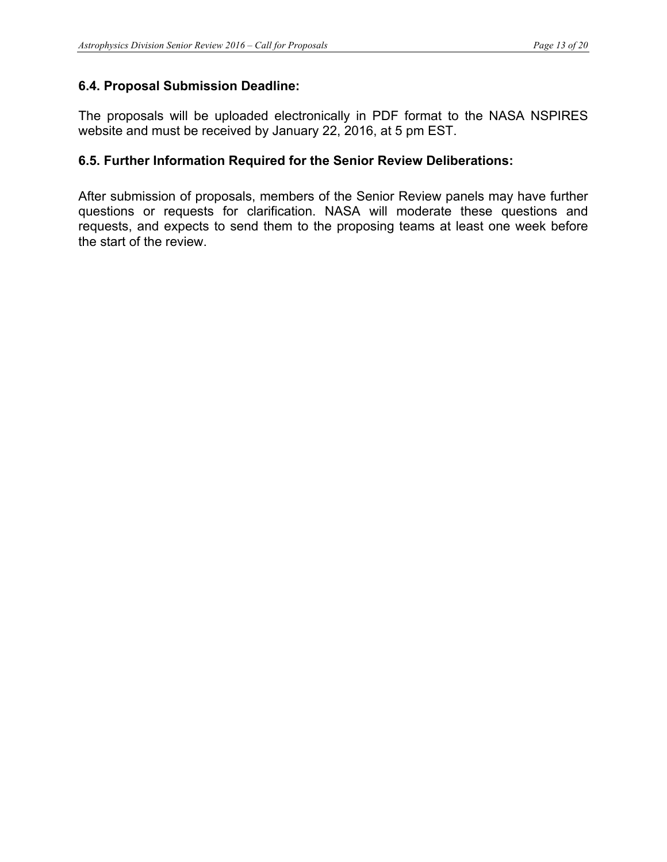### **6.4. Proposal Submission Deadline:**

The proposals will be uploaded electronically in PDF format to the NASA NSPIRES website and must be received by January 22, 2016, at 5 pm EST.

### **6.5. Further Information Required for the Senior Review Deliberations:**

After submission of proposals, members of the Senior Review panels may have further questions or requests for clarification. NASA will moderate these questions and requests, and expects to send them to the proposing teams at least one week before the start of the review.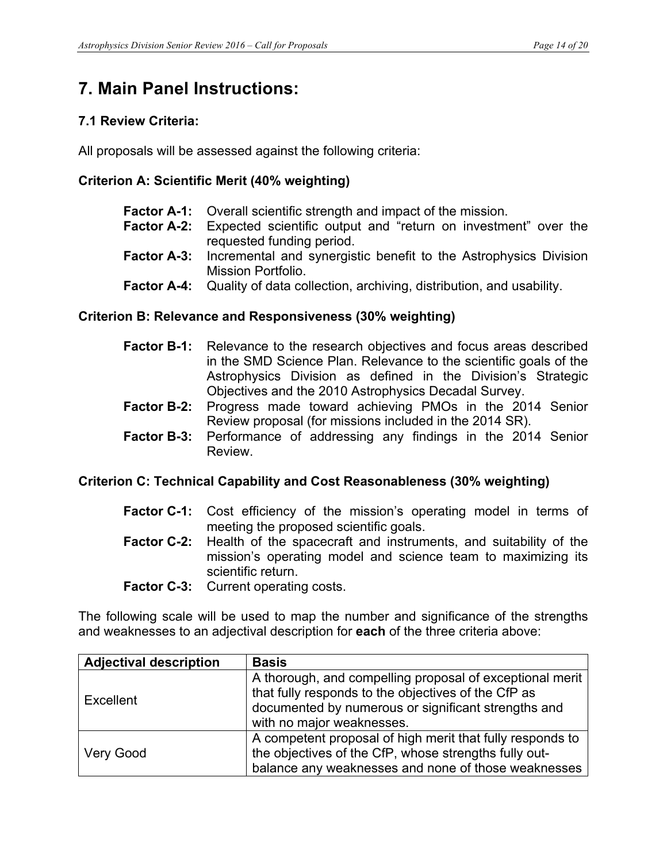## **7. Main Panel Instructions:**

### **7.1 Review Criteria:**

All proposals will be assessed against the following criteria:

### **Criterion A: Scientific Merit (40% weighting)**

- **Factor A-1:** Overall scientific strength and impact of the mission.
- **Factor A-2:** Expected scientific output and "return on investment" over the requested funding period.
- **Factor A-3:** Incremental and synergistic benefit to the Astrophysics Division Mission Portfolio.
- **Factor A-4:** Quality of data collection, archiving, distribution, and usability.

### **Criterion B: Relevance and Responsiveness (30% weighting)**

- **Factor B-1:** Relevance to the research objectives and focus areas described in the SMD Science Plan. Relevance to the scientific goals of the Astrophysics Division as defined in the Division's Strategic Objectives and the 2010 Astrophysics Decadal Survey.
- **Factor B-2:** Progress made toward achieving PMOs in the 2014 Senior Review proposal (for missions included in the 2014 SR).
- **Factor B-3:** Performance of addressing any findings in the 2014 Senior Review.

### **Criterion C: Technical Capability and Cost Reasonableness (30% weighting)**

- **Factor C-1:** Cost efficiency of the mission's operating model in terms of meeting the proposed scientific goals.
- **Factor C-2:** Health of the spacecraft and instruments, and suitability of the mission's operating model and science team to maximizing its scientific return.
- Factor C-3: Current operating costs.

The following scale will be used to map the number and significance of the strengths and weaknesses to an adjectival description for **each** of the three criteria above:

| <b>Adjectival description</b> | <b>Basis</b>                                                                                                                                                                                        |
|-------------------------------|-----------------------------------------------------------------------------------------------------------------------------------------------------------------------------------------------------|
| Excellent                     | A thorough, and compelling proposal of exceptional merit<br>that fully responds to the objectives of the CfP as<br>documented by numerous or significant strengths and<br>with no major weaknesses. |
| <b>Very Good</b>              | A competent proposal of high merit that fully responds to<br>the objectives of the CfP, whose strengths fully out-<br>balance any weaknesses and none of those weaknesses                           |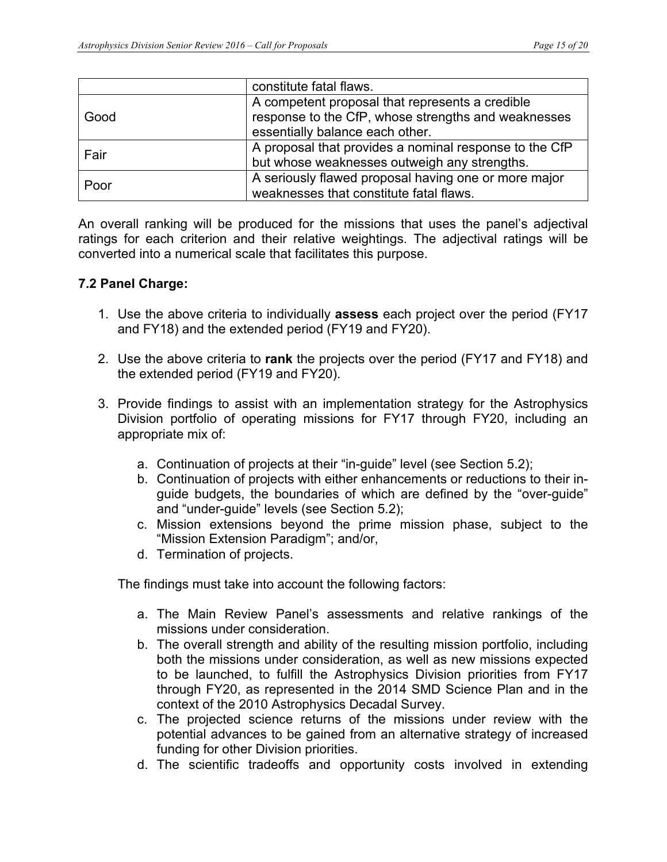|      | constitute fatal flaws.                                                                                                                   |
|------|-------------------------------------------------------------------------------------------------------------------------------------------|
| Good | A competent proposal that represents a credible<br>response to the CfP, whose strengths and weaknesses<br>essentially balance each other. |
| Fair | A proposal that provides a nominal response to the CfP<br>but whose weaknesses outweigh any strengths.                                    |
| Poor | A seriously flawed proposal having one or more major<br>weaknesses that constitute fatal flaws.                                           |

An overall ranking will be produced for the missions that uses the panel's adjectival ratings for each criterion and their relative weightings. The adjectival ratings will be converted into a numerical scale that facilitates this purpose.

### **7.2 Panel Charge:**

- 1. Use the above criteria to individually **assess** each project over the period (FY17 and FY18) and the extended period (FY19 and FY20).
- 2. Use the above criteria to **rank** the projects over the period (FY17 and FY18) and the extended period (FY19 and FY20).
- 3. Provide findings to assist with an implementation strategy for the Astrophysics Division portfolio of operating missions for FY17 through FY20, including an appropriate mix of:
	- a. Continuation of projects at their "in-guide" level (see Section 5.2);
	- b. Continuation of projects with either enhancements or reductions to their inguide budgets, the boundaries of which are defined by the "over-guide" and "under-guide" levels (see Section 5.2);
	- c. Mission extensions beyond the prime mission phase, subject to the "Mission Extension Paradigm"; and/or,
	- d. Termination of projects.

The findings must take into account the following factors:

- a. The Main Review Panel's assessments and relative rankings of the missions under consideration.
- b. The overall strength and ability of the resulting mission portfolio, including both the missions under consideration, as well as new missions expected to be launched, to fulfill the Astrophysics Division priorities from FY17 through FY20, as represented in the 2014 SMD Science Plan and in the context of the 2010 Astrophysics Decadal Survey.
- c. The projected science returns of the missions under review with the potential advances to be gained from an alternative strategy of increased funding for other Division priorities.
- d. The scientific tradeoffs and opportunity costs involved in extending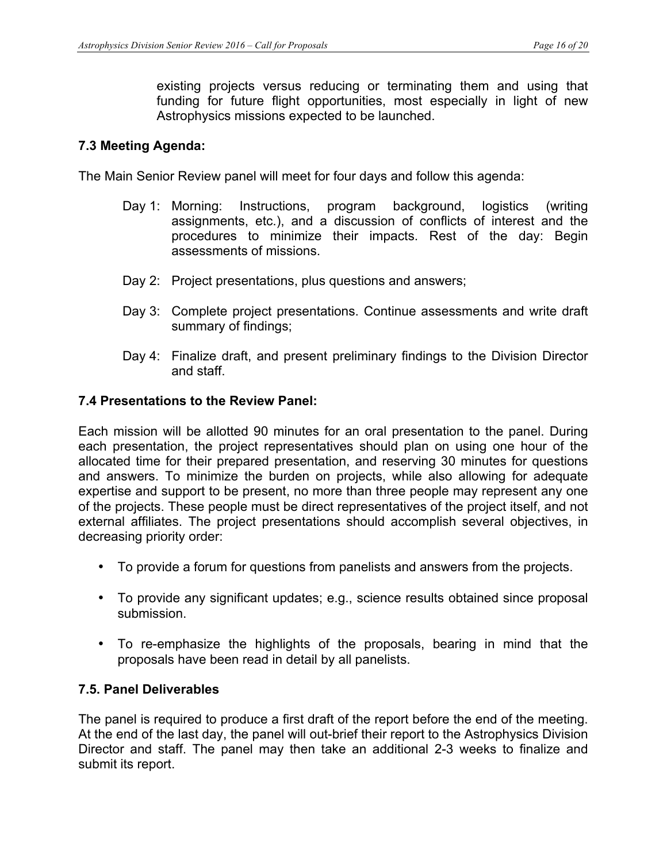existing projects versus reducing or terminating them and using that funding for future flight opportunities, most especially in light of new Astrophysics missions expected to be launched.

### **7.3 Meeting Agenda:**

The Main Senior Review panel will meet for four days and follow this agenda:

- Day 1: Morning: Instructions, program background, logistics (writing assignments, etc.), and a discussion of conflicts of interest and the procedures to minimize their impacts. Rest of the day: Begin assessments of missions.
- Day 2: Project presentations, plus questions and answers;
- Day 3: Complete project presentations. Continue assessments and write draft summary of findings;
- Day 4: Finalize draft, and present preliminary findings to the Division Director and staff.

#### **7.4 Presentations to the Review Panel:**

Each mission will be allotted 90 minutes for an oral presentation to the panel. During each presentation, the project representatives should plan on using one hour of the allocated time for their prepared presentation, and reserving 30 minutes for questions and answers. To minimize the burden on projects, while also allowing for adequate expertise and support to be present, no more than three people may represent any one of the projects. These people must be direct representatives of the project itself, and not external affiliates. The project presentations should accomplish several objectives, in decreasing priority order:

- To provide a forum for questions from panelists and answers from the projects.
- To provide any significant updates; e.g., science results obtained since proposal submission.
- To re-emphasize the highlights of the proposals, bearing in mind that the proposals have been read in detail by all panelists.

#### **7.5. Panel Deliverables**

The panel is required to produce a first draft of the report before the end of the meeting. At the end of the last day, the panel will out-brief their report to the Astrophysics Division Director and staff. The panel may then take an additional 2-3 weeks to finalize and submit its report.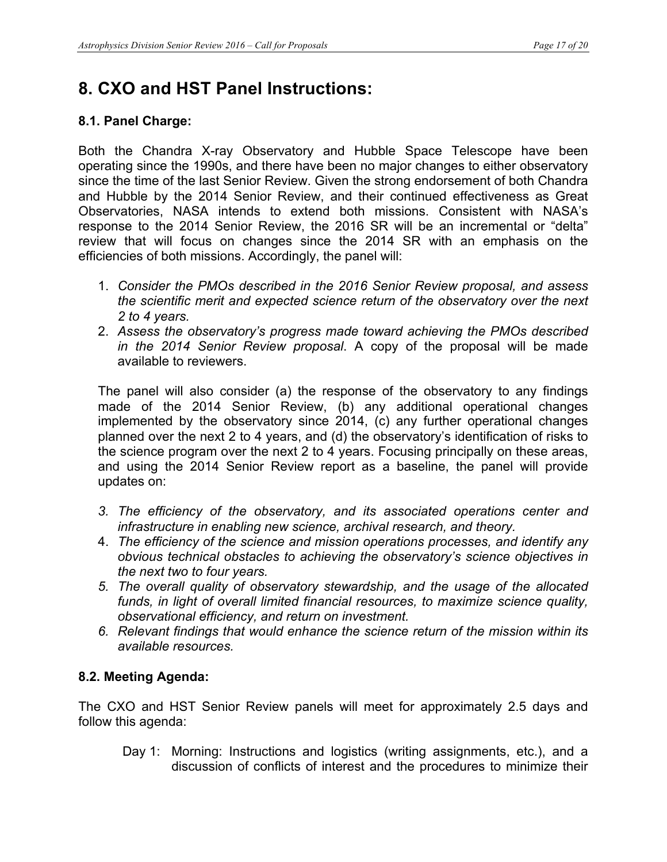# **8. CXO and HST Panel Instructions:**

## **8.1. Panel Charge:**

Both the Chandra X-ray Observatory and Hubble Space Telescope have been operating since the 1990s, and there have been no major changes to either observatory since the time of the last Senior Review. Given the strong endorsement of both Chandra and Hubble by the 2014 Senior Review, and their continued effectiveness as Great Observatories, NASA intends to extend both missions. Consistent with NASA's response to the 2014 Senior Review, the 2016 SR will be an incremental or "delta" review that will focus on changes since the 2014 SR with an emphasis on the efficiencies of both missions. Accordingly, the panel will:

- 1. *Consider the PMOs described in the 2016 Senior Review proposal, and assess the scientific merit and expected science return of the observatory over the next 2 to 4 years.*
- 2. *Assess the observatory's progress made toward achieving the PMOs described in the 2014 Senior Review proposal*. A copy of the proposal will be made available to reviewers.

The panel will also consider (a) the response of the observatory to any findings made of the 2014 Senior Review, (b) any additional operational changes implemented by the observatory since 2014, (c) any further operational changes planned over the next 2 to 4 years, and (d) the observatory's identification of risks to the science program over the next 2 to 4 years. Focusing principally on these areas, and using the 2014 Senior Review report as a baseline, the panel will provide updates on:

- *3. The efficiency of the observatory, and its associated operations center and infrastructure in enabling new science, archival research, and theory.*
- 4. *The efficiency of the science and mission operations processes, and identify any obvious technical obstacles to achieving the observatory's science objectives in the next two to four years.*
- *5. The overall quality of observatory stewardship, and the usage of the allocated funds, in light of overall limited financial resources, to maximize science quality, observational efficiency, and return on investment.*
- *6. Relevant findings that would enhance the science return of the mission within its available resources.*

## **8.2. Meeting Agenda:**

The CXO and HST Senior Review panels will meet for approximately 2.5 days and follow this agenda:

Day 1: Morning: Instructions and logistics (writing assignments, etc.), and a discussion of conflicts of interest and the procedures to minimize their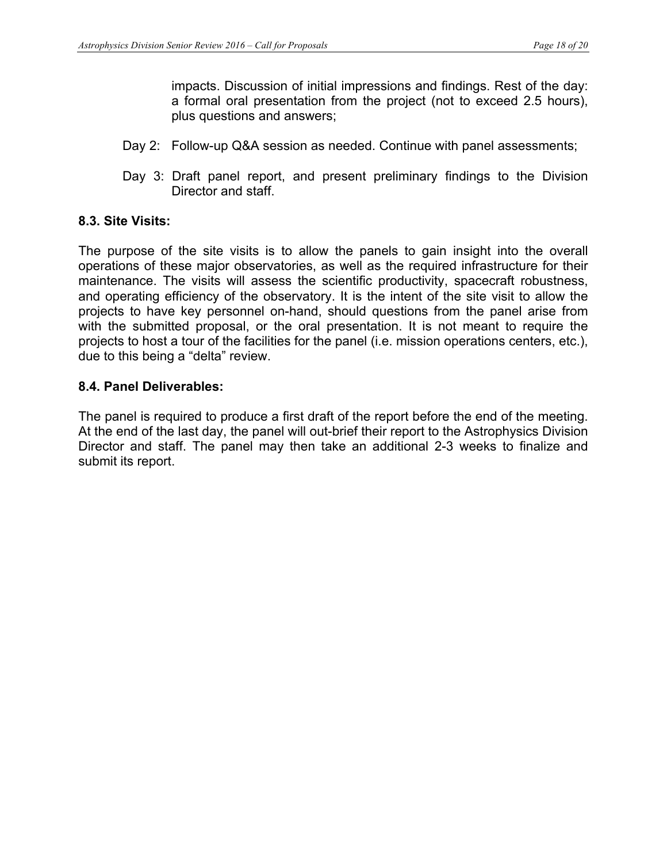impacts. Discussion of initial impressions and findings. Rest of the day: a formal oral presentation from the project (not to exceed 2.5 hours), plus questions and answers;

- Day 2: Follow-up Q&A session as needed. Continue with panel assessments;
- Day 3: Draft panel report, and present preliminary findings to the Division Director and staff.

### **8.3. Site Visits:**

The purpose of the site visits is to allow the panels to gain insight into the overall operations of these major observatories, as well as the required infrastructure for their maintenance. The visits will assess the scientific productivity, spacecraft robustness, and operating efficiency of the observatory. It is the intent of the site visit to allow the projects to have key personnel on-hand, should questions from the panel arise from with the submitted proposal, or the oral presentation. It is not meant to require the projects to host a tour of the facilities for the panel (i.e. mission operations centers, etc.), due to this being a "delta" review.

### **8.4. Panel Deliverables:**

The panel is required to produce a first draft of the report before the end of the meeting. At the end of the last day, the panel will out-brief their report to the Astrophysics Division Director and staff. The panel may then take an additional 2-3 weeks to finalize and submit its report.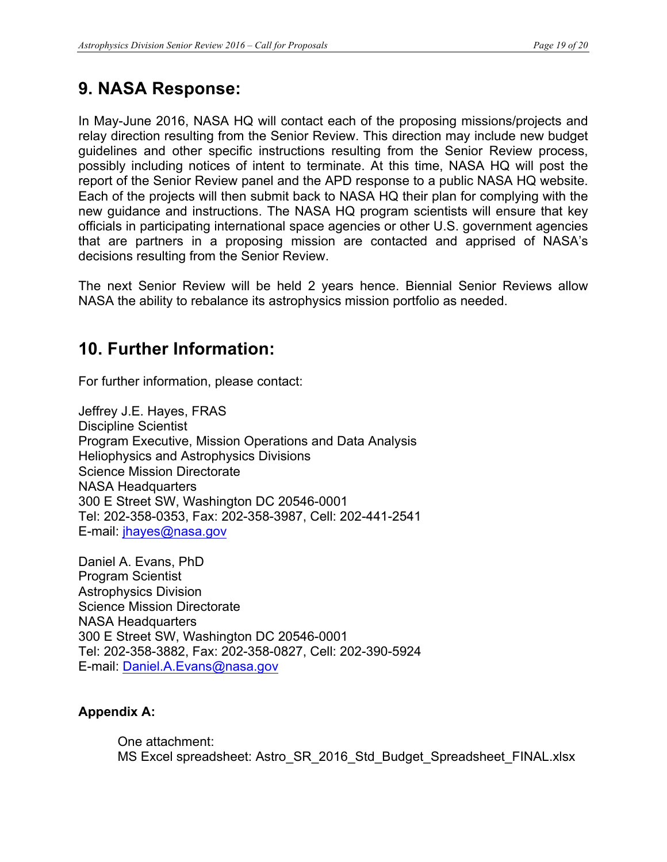## **9. NASA Response:**

In May-June 2016, NASA HQ will contact each of the proposing missions/projects and relay direction resulting from the Senior Review. This direction may include new budget guidelines and other specific instructions resulting from the Senior Review process, possibly including notices of intent to terminate. At this time, NASA HQ will post the report of the Senior Review panel and the APD response to a public NASA HQ website. Each of the projects will then submit back to NASA HQ their plan for complying with the new guidance and instructions. The NASA HQ program scientists will ensure that key officials in participating international space agencies or other U.S. government agencies that are partners in a proposing mission are contacted and apprised of NASA's decisions resulting from the Senior Review.

The next Senior Review will be held 2 years hence. Biennial Senior Reviews allow NASA the ability to rebalance its astrophysics mission portfolio as needed.

## **10. Further Information:**

For further information, please contact:

Jeffrey J.E. Hayes, FRAS Discipline Scientist Program Executive, Mission Operations and Data Analysis Heliophysics and Astrophysics Divisions Science Mission Directorate NASA Headquarters 300 E Street SW, Washington DC 20546-0001 Tel: 202-358-0353, Fax: 202-358-3987, Cell: 202-441-2541 E-mail: jhayes@nasa.gov

Daniel A. Evans, PhD Program Scientist Astrophysics Division Science Mission Directorate NASA Headquarters 300 E Street SW, Washington DC 20546-0001 Tel: 202-358-3882, Fax: 202-358-0827, Cell: 202-390-5924 E-mail: Daniel.A.Evans@nasa.gov

### **Appendix A:**

One attachment: MS Excel spreadsheet: Astro\_SR\_2016\_Std\_Budget\_Spreadsheet\_FINAL.xlsx